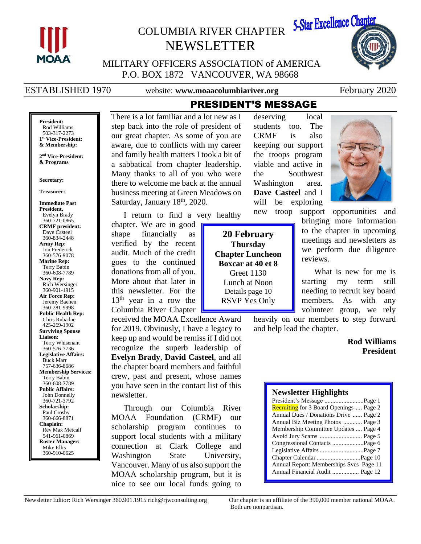

# COLUMBIA RIVER CHAPTER NEWSLETTER



MILITARY OFFICERS ASSOCIATION of AMERICA P.O. BOX 1872 VANCOUVER, WA 98668

ESTABLISHED 1970 website: **www.moaacolumbiariver.org** February 2020

**President:** Rod Williams 503-317-2273 **1 st Vice-President: & Membership:**

**2 nd Vice-President: & Programs**

#### **Secretary:**

#### **Treasurer:**

**Immediate Past President,**  Evelyn Brady 360-721-0865 **CRMF president:** Dave Casteel 360-834-2448 **Army Rep:** Jon Frederick 360-576-9078 **Marine Rep:** Terry Babin 360-608-7789 **Navy Rep:** Rich Wersinger 360-901-1915 **Air Force Rep:** Jeremy Baenen 360-281-9998 **Public Health Rep:** Chris Rubadue 425-269-1902 **Surviving Spouse Liaison:** Terry Whisenant 360-576-7736 **Legislative Affairs:** Buck Marr 757-636-8686 **Membership Services:** Terry Babin 360-608-7789 **Public Affairs:** John Donnelly 360-721-3792 **Scholarship:** Paul Crosby 360-666-8871 **Chaplain:** Rev Max Metcalf 541-961-0869 **Roster Manager:** Mike Ellis 360-910-0625

There is a lot familiar and a lot new as I step back into the role of president of our great chapter. As some of you are aware, due to conflicts with my career and family health matters I took a bit of a sabbatical from chapter leadership. Many thanks to all of you who were there to welcome me back at the annual business meeting at Green Meadows on Saturday, January 18<sup>th</sup>, 2020.

I return to find a very healthy

chapter. We are in good shape financially as verified by the recent audit. Much of the credit goes to the continued donations from all of you. More about that later in this newsletter. For the 13<sup>th</sup> year in a row the Columbia River Chapter

received the MOAA Excellence Award for 2019. Obviously, I have a legacy to keep up and would be remiss if I did not recognize the superb leadership of **Evelyn Brady**, **David Casteel**, and all the chapter board members and faithful crew, past and present, whose names you have seen in the contact list of this newsletter.

Through our Columbia River MOAA Foundation (CRMF) our scholarship program continues to support local students with a military connection at Clark College and Washington State University, Vancouver. Many of us also support the MOAA scholarship program, but it is nice to see our local funds going to

**20 February Thursday Chapter Luncheon Boxcar at 40 et 8** Greet 1130 Lunch at Noon Details page 10 RSVP Yes Only

PRESIDENT'S MESSAGE

deserving local students too. The CRMF is also keeping our support the troops program viable and active in the Southwest Washington area. **Dave Casteel** and I will be exploring

new troop support opportunities and bringing more information to the chapter in upcoming meetings and newsletters as we perform due diligence reviews.

> What is new for me is starting my term still needing to recruit key board members. As with any volunteer group, we rely

heavily on our members to step forward and help lead the chapter.

### **Rod Williams President**

#### **Newsletter Highlights**

| President's Message Page 1              |
|-----------------------------------------|
| Recruiting for 3 Board Openings  Page 2 |
| Annual Dues / Donations Drive  Page 2   |
| Annual Biz Meeting Photos  Page 3       |
| Membership Committee Updates  Page 4    |
| Avoid Jury Scams  Page 5                |
|                                         |
| Legislative Affairs Page 7              |
|                                         |
| Annual Report: Memberships Svcs Page 11 |
| Annual Financial Audit  Page 12         |
|                                         |

Both are nonpartisan.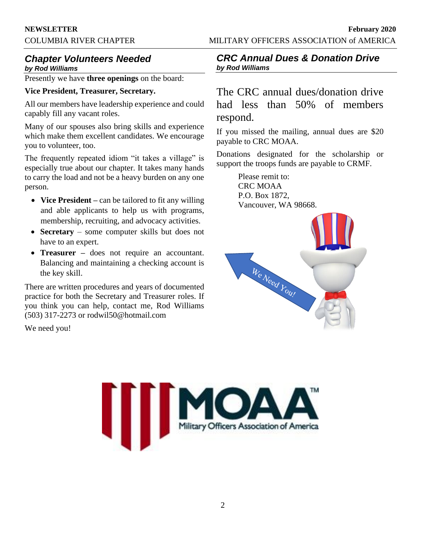# *Chapter Volunteers Needed*

*by Rod Williams*

Presently we have **three openings** on the board:

#### **Vice President, Treasurer, Secretary.**

All our members have leadership experience and could capably fill any vacant roles.

Many of our spouses also bring skills and experience which make them excellent candidates. We encourage you to volunteer, too.

The frequently repeated idiom "it takes a village" is especially true about our chapter. It takes many hands to carry the load and not be a heavy burden on any one person.

- **Vice President** can be tailored to fit any willing and able applicants to help us with programs, membership, recruiting, and advocacy activities.
- **Secretary** some computer skills but does not have to an expert.
- **Treasurer –** does not require an accountant. Balancing and maintaining a checking account is the key skill.

There are written procedures and years of documented practice for both the Secretary and Treasurer roles. If you think you can help, contact me, Rod Williams (503) 317-2273 or rodwil50@hotmail.com

We need you!

## *CRC Annual Dues & Donation Drive by Rod Williams*

The CRC annual dues/donation drive had less than 50% of members respond.

If you missed the mailing, annual dues are \$20 payable to CRC MOAA.

Donations designated for the scholarship or support the troops funds are payable to CRMF.

> Please remit to: CRC MOAA P.O. Box 1872, Vancouver, WA 98668.



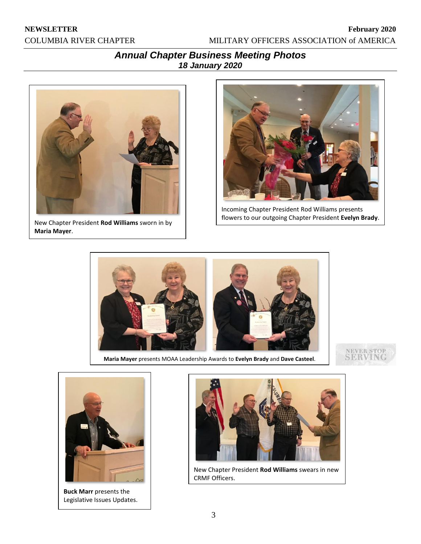**NEWSLETTER February 2020** COLUMBIA RIVER CHAPTER MILITARY OFFICERS ASSOCIATION of AMERICA

## *Annual Chapter Business Meeting Photos 18 January 2020*



New Chapter President **Rod Williams** sworn in by **Maria Mayer**.



Incoming Chapter President Rod Williams presents flowers to our outgoing Chapter President **Evelyn Brady**.



**Maria Mayer** presents MOAA Leadership Awards to **Evelyn Brady** and **Dave Casteel**.





**Buck Marr** presents the Legislative Issues Updates.



New Chapter President **Rod Williams** swears in new CRMF Officers.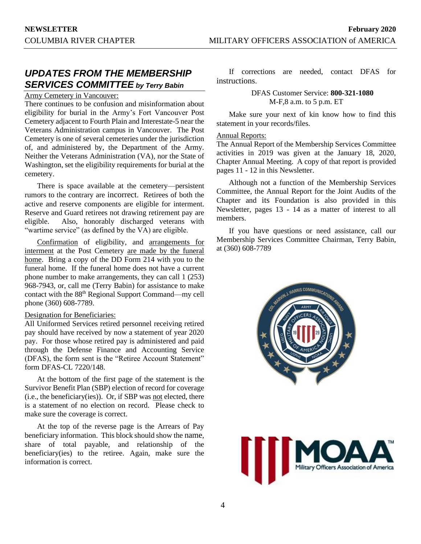## *UPDATES FROM THE MEMBERSHIP SERVICES COMMITTEE by Terry Babin*

#### Army Cemetery in Vancouver:

There continues to be confusion and misinformation about eligibility for burial in the Army's Fort Vancouver Post Cemetery adjacent to Fourth Plain and Interestate-5 near the Veterans Administration campus in Vancouver. The Post Cemetery is one of several cemeteries under the jurisdiction of, and administered by, the Department of the Army. Neither the Veterans Administration (VA), nor the State of Washington, set the eligibility requirements for burial at the cemetery.

There is space available at the cemetery—persistent rumors to the contrary are incorrect. Retirees of both the active and reserve components are eligible for interment. Reserve and Guard retirees not drawing retirement pay are eligible. Also, honorably discharged veterans with "wartime service" (as defined by the VA) are eligible.

Confirmation of eligibility, and arrangements for interment at the Post Cemetery are made by the funeral home. Bring a copy of the DD Form 214 with you to the funeral home. If the funeral home does not have a current phone number to make arrangements, they can call 1 (253) 968-7943, or, call me (Terry Babin) for assistance to make contact with the 88<sup>th</sup> Regional Support Command—my cell phone (360) 608-7789.

#### Designation for Beneficiaries:

All Uniformed Services retired personnel receiving retired pay should have received by now a statement of year 2020 pay. For those whose retired pay is administered and paid through the Defense Finance and Accounting Service (DFAS), the form sent is the "Retiree Account Statement" form DFAS-CL 7220/148.

At the bottom of the first page of the statement is the Survivor Benefit Plan (SBP) election of record for coverage (i.e., the beneficiary(ies)). Or, if SBP was not elected, there is a statement of no election on record. Please check to make sure the coverage is correct.

At the top of the reverse page is the Arrears of Pay beneficiary information. This block should show the name, share of total payable, and relationship of the beneficiary(ies) to the retiree. Again, make sure the information is correct.

If corrections are needed, contact DFAS for instructions.

> DFAS Customer Service: **800-321-1080** M-F,8 a.m. to 5 p.m. ET

Make sure your next of kin know how to find this statement in your records/files.

#### Annual Reports:

The Annual Report of the Membership Services Committee activities in 2019 was given at the January 18, 2020, Chapter Annual Meeting. A copy of that report is provided pages 11 - 12 in this Newsletter.

Although not a function of the Membership Services Committee, the Annual Report for the Joint Audits of the Chapter and its Foundation is also provided in this Newsletter, pages 13 - 14 as a matter of interest to all members.

If you have questions or need assistance, call our Membership Services Committee Chairman, Terry Babin, at (360) 608-7789



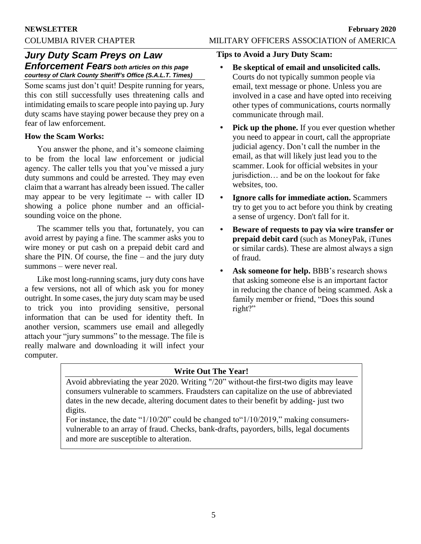## *Jury Duty Scam Preys on Law Enforcement Fears both articles on this page courtesy of Clark County Sheriff's Office (S.A.L.T. Times)*

Some scams just don't quit! Despite running for years, this con still successfully uses threatening calls and intimidating emails to scare people into paying up. Jury duty scams have staying power because they prey on a fear of law enforcement.

#### **How the Scam Works:**

You answer the phone, and it's someone claiming to be from the local law enforcement or judicial agency. The caller tells you that you've missed a jury duty summons and could be arrested. They may even claim that a warrant has already been issued. The caller may appear to be very legitimate -- with caller ID showing a police phone number and an officialsounding voice on the phone.

The scammer tells you that, fortunately, you can avoid arrest by paying a fine. The scammer asks you to wire money or put cash on a prepaid debit card and share the PIN. Of course, the fine  $-$  and the jury duty summons – were never real.

Like most long-running scams, jury duty cons have a few versions, not all of which ask you for money outright. In some cases, the jury duty scam may be used to trick you into providing sensitive, personal information that can be used for identity theft. In another version, scammers use email and allegedly attach your "jury summons" to the message. The file is really malware and downloading it will infect your computer.

### **Tips to Avoid a Jury Duty Scam:**

- **• Be skeptical of email and unsolicited calls.**  Courts do not typically summon people via email, text message or phone. Unless you are involved in a case and have opted into receiving other types of communications, courts normally communicate through mail.
- **• Pick up the phone.** If you ever question whether you need to appear in court, call the appropriate judicial agency. Don't call the number in the email, as that will likely just lead you to the scammer. Look for official websites in your jurisdiction… and be on the lookout for fake websites, too.
- **• Ignore calls for immediate action.** Scammers try to get you to act before you think by creating a sense of urgency. Don't fall for it.
- **• Beware of requests to pay via wire transfer or prepaid debit card** (such as MoneyPak, iTunes or similar cards). These are almost always a sign of fraud.
- **Ask someone for help.** BBB's research shows that asking someone else is an important factor in reducing the chance of being scammed. Ask a family member or friend, "Does this sound right?"

## **Write Out The Year!**

Avoid abbreviating the year 2020. Writing "/20" without-the first-two digits may leave consumers vulnerable to scammers. Fraudsters can capitalize on the use of abbreviated dates in the new decade, altering document dates to their benefit by adding- just two digits.

For instance, the date "1/10/20" could be changed to "1/10/2019," making consumersvulnerable to an array of fraud. Checks, bank-drafts, payorders, bills, legal documents and more are susceptible to alteration.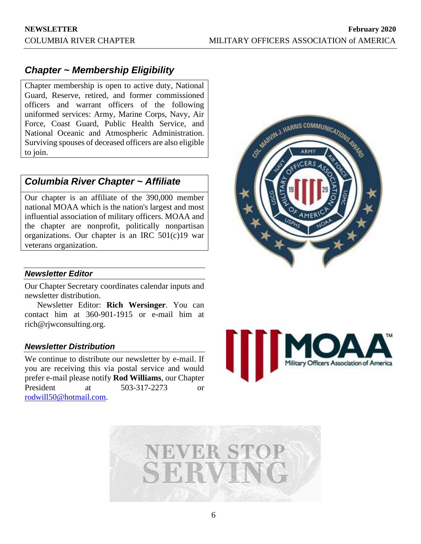# *Chapter ~ Membership Eligibility*

Chapter membership is open to active duty, National Guard, Reserve, retired, and former commissioned officers and warrant officers of the following uniformed services: Army, Marine Corps, Navy, Air Force, Coast Guard, Public Health Service, and National Oceanic and Atmospheric Administration. Surviving spouses of deceased officers are also eligible to join.

## *Columbia River Chapter ~ Affiliate*

Our chapter is an affiliate of the 390,000 member national MOAA which is the nation's largest and most influential association of military officers. MOAA and the chapter are nonprofit, politically nonpartisan organizations. Our chapter is an IRC 501(c)19 war veterans organization.

# SEN MORVIN J. HARRIS COMMUNICATIONS AVERE

#### *Newsletter Editor*

Our Chapter Secretary coordinates calendar inputs and newsletter distribution.

Newsletter Editor: **Rich Wersinger**. You can contact him at 360-901-1915 or e-mail him at rich@rjwconsulting.org.

#### *Newsletter Distribution*

We continue to distribute our newsletter by e-mail. If you are receiving this via postal service and would prefer e-mail please notify **Rod Williams**, our Chapter President at 503-317-2273 or [rodwill50@hotmail.com.](mailto:rodwill50@hotmail.com)



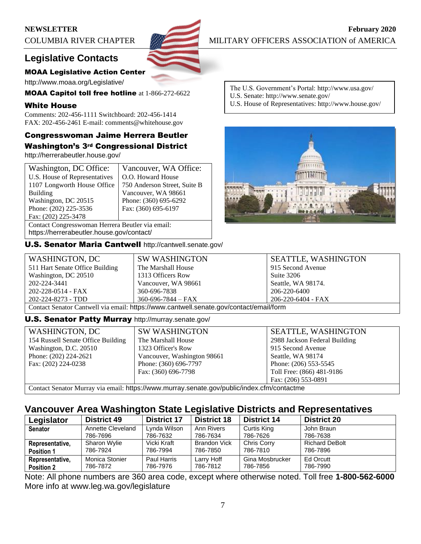

**NEWSLETTER February** 2020 COLUMBIA RIVER CHAPTER MILITARY OFFICERS ASSOCIATION of AMERICA

# **Legislative Contacts**

#### MOAA Legislative Action Center

http://www.moaa.org/Legislative/

MOAA Capitol toll free hotline at 1-866-272-6622

#### White House

Comments: 202-456-1111 Switchboard: 202-456-1414 FAX: 202-456-2461 E-mail: comments@whitehouse.gov

## Congresswoman Jaime Herrera Beutler Washington's 3rd Congressional District

http://herrerabeutler.house.gov/

| Washington, DC Office:                           | Vancouver, WA Office:        |  |
|--------------------------------------------------|------------------------------|--|
| U.S. House of Representatives                    | O.O. Howard House            |  |
| 1107 Longworth House Office                      | 750 Anderson Street, Suite B |  |
| <b>Building</b>                                  | Vancouver, WA 98661          |  |
| Washington, DC 20515                             | Phone: (360) 695-6292        |  |
| Phone: (202) 225-3536                            | Fax: (360) 695-6197          |  |
| Fax: (202) 225-3478                              |                              |  |
| Contact Congresswoman Herrera Beutler via email: |                              |  |

https://herrerabeutler.house.gov/contact/

U.S. Senator Maria Cantwell http://cantwell.senate.gov/

The U.S. Government's Portal: http://www.usa.gov/ U.S. Senate: http://www.senate.gov/

U.S. House of Representatives: http://www.house.gov/



| WASHINGTON, DC                                                                         | <b>SW WASHINGTON</b>     | <b>SEATTLE, WASHINGTON</b> |
|----------------------------------------------------------------------------------------|--------------------------|----------------------------|
| 511 Hart Senate Office Building                                                        | The Marshall House       | 915 Second Avenue          |
| Washington, DC 20510                                                                   | 1313 Officers Row        | Suite 3206                 |
| 202-224-3441                                                                           | Vancouver, WA 98661      | Seattle, WA 98174.         |
| 202-228-0514 - FAX                                                                     | 360-696-7838             | 206-220-6400               |
| 202-224-8273 - TDD                                                                     | $360 - 696 - 7844 - FAX$ | 206-220-6404 - FAX         |
| Contact Senator Cantwell via email: https://www.cantwell.senate.gov/contact/email/form |                          |                            |

#### U.S. Senator Patty Murray http://murray.senate.gov/

| WASHINGTON, DC                     | <b>SW WASHINGTON</b>        | <b>SEATTLE, WASHINGTON</b>    |
|------------------------------------|-----------------------------|-------------------------------|
| 154 Russell Senate Office Building | The Marshall House          | 2988 Jackson Federal Building |
| Washington, D.C. 20510             | 1323 Officer's Row          | 915 Second Avenue             |
| Phone: (202) 224-2621              | Vancouver, Washington 98661 | Seattle, WA 98174             |
| Fax: (202) 224-0238                | Phone: (360) 696-7797       | Phone: (206) 553-5545         |
|                                    | Fax: (360) 696-7798         | Toll Free: (866) 481-9186     |
|                                    |                             | Fax: (206) 553-0891           |

Contact Senator Murray via email: https://www.murray.senate.gov/public/index.cfm/contactme

## **Vancouver Area Washington State Legislative Districts and Representatives**

| Legislator        | <b>District 49</b>            | <b>District 17</b>       | <b>District 18</b>     | <b>District 14</b>      | <b>District 20</b>     |
|-------------------|-------------------------------|--------------------------|------------------------|-------------------------|------------------------|
| <b>Senator</b>    | Annette Cleveland<br>786-7696 | Lynda Wilson<br>786-7632 | Ann Rivers<br>786-7634 | Curtis King<br>786-7626 | John Braun<br>786-7638 |
|                   |                               |                          |                        |                         |                        |
| Representative,   | Sharon Wylie                  | Vicki Kraft              | <b>Brandon Vick</b>    | Chris Corry             | <b>Richard DeBolt</b>  |
| <b>Position 1</b> | 786-7924                      | 786-7994                 | 786-7850               | 786-7810                | 786-7896               |
| Representative,   | Monica Stonier                | Paul Harris              | Larry Hoff             | Gina Mosbrucker         | Ed Orcutt              |
| <b>Position 2</b> | 786-7872                      | 786-7976                 | 786-7812               | 786-7856                | 786-7990               |

Note: All phone numbers are 360 area code, except where otherwise noted. Toll free **1-800-562-6000** More info at www.leg.wa.gov/legislature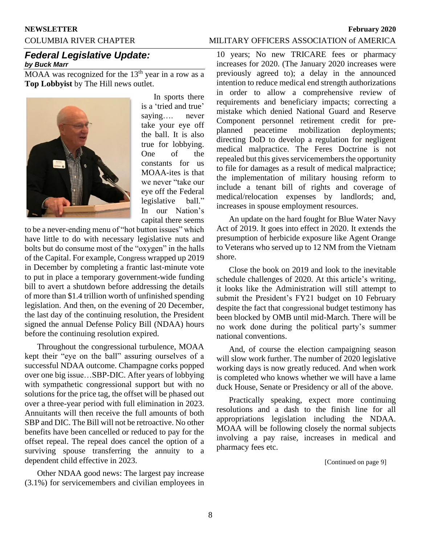# **NEWSLETTER February 2020**

#### COLUMBIA RIVER CHAPTER MILITARY OFFICERS ASSOCIATION of AMERICA

#### *Federal Legislative Update: by Buck Marr*

 $MOAA$  was recognized for the  $13<sup>th</sup>$  year in a row as a **Top Lobbyist** by The Hill news outlet.



In sports there is a 'tried and true' saying…. never take your eye off the ball. It is also true for lobbying. One of the constants for us MOAA-ites is that we never "take our eye off the Federal legislative ball." In our Nation's capital there seems

to be a never-ending menu of "hot button issues" which have little to do with necessary legislative nuts and bolts but do consume most of the "oxygen" in the halls of the Capital. For example, Congress wrapped up 2019 in December by completing a frantic last-minute vote to put in place a temporary government-wide funding bill to avert a shutdown before addressing the details of more than \$1.4 trillion worth of unfinished spending legislation. And then, on the evening of 20 December, the last day of the continuing resolution, the President signed the annual Defense Policy Bill (NDAA) hours before the continuing resolution expired.

Throughout the congressional turbulence, MOAA kept their "eye on the ball" assuring ourselves of a successful NDAA outcome. Champagne corks popped over one big issue…SBP-DIC. After years of lobbying with sympathetic congressional support but with no solutions for the price tag, the offset will be phased out over a three-year period with full elimination in 2023. Annuitants will then receive the full amounts of both SBP and DIC. The Bill will not be retroactive. No other benefits have been cancelled or reduced to pay for the offset repeal. The repeal does cancel the option of a surviving spouse transferring the annuity to a dependent child effective in 2023.

Other NDAA good news: The largest pay increase (3.1%) for servicemembers and civilian employees in

10 years; No new TRICARE fees or pharmacy increases for 2020. (The January 2020 increases were previously agreed to); a delay in the announced intention to reduce medical end strength authorizations in order to allow a comprehensive review of requirements and beneficiary impacts; correcting a mistake which denied National Guard and Reserve Component personnel retirement credit for preplanned peacetime mobilization deployments; directing DoD to develop a regulation for negligent medical malpractice. The Feres Doctrine is not repealed but this gives servicemembers the opportunity to file for damages as a result of medical malpractice; the implementation of military housing reform to include a tenant bill of rights and coverage of medical/relocation expenses by landlords; and, increases in spouse employment resources.

An update on the hard fought for Blue Water Navy Act of 2019. It goes into effect in 2020. It extends the presumption of herbicide exposure like Agent Orange to Veterans who served up to 12 NM from the Vietnam shore.

Close the book on 2019 and look to the inevitable schedule challenges of 2020. At this article's writing, it looks like the Administration will still attempt to submit the President's FY21 budget on 10 February despite the fact that congressional budget testimony has been blocked by OMB until mid-March. There will be no work done during the political party's summer national conventions.

And, of course the election campaigning season will slow work further. The number of 2020 legislative working days is now greatly reduced. And when work is completed who knows whether we will have a lame duck House, Senate or Presidency or all of the above.

Practically speaking, expect more continuing resolutions and a dash to the finish line for all appropriations legislation including the NDAA. MOAA will be following closely the normal subjects involving a pay raise, increases in medical and pharmacy fees etc.

[Continued on page 9]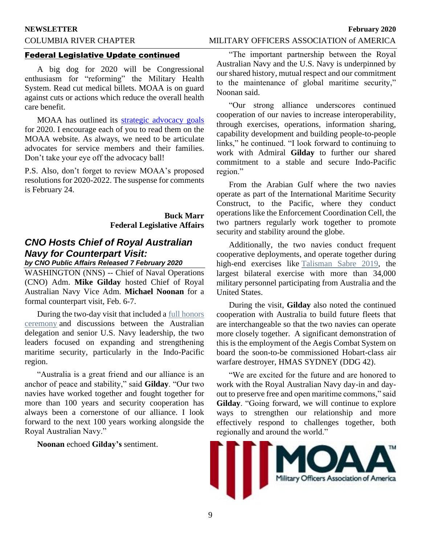#### **NEWSLETTER February 2020**

## COLUMBIA RIVER CHAPTER MILITARY OFFICERS ASSOCIATION of AMERICA

#### Federal Legislative Update continued

A big dog for 2020 will be Congressional enthusiasm for "reforming" the Military Health System. Read cut medical billets. MOAA is on guard against cuts or actions which reduce the overall health care benefit.

MOAA has outlined its [strategic advocacy goals](https://www.moaa.org/content/publications-and-media/news-articles/2019-news-articles/advocacy/moaas-2020-legislative-mission/) for 2020. I encourage each of you to read them on the MOAA website. As always, we need to be articulate advocates for service members and their families. Don't take your eye off the advocacy ball!

P.S. Also, don't forget to review MOAA's proposed resolutions for 2020-2022. The suspense for comments is February 24.

> **Buck Marr Federal Legislative Affairs**

## *CNO Hosts Chief of Royal Australian Navy for Counterpart Visit:*

## *by CNO Public Affairs Released 7 February 2020*

WASHINGTON (NNS) -- Chief of Naval Operations (CNO) Adm. **Mike Gilday** hosted Chief of Royal Australian Navy Vice Adm. **Michael Noonan** for a formal counterpart visit, Feb. 6-7.

During the two-day visit that included a [full honors](https://www.navy.mil/navydata/people/cno/Gilday/Speech/CNO-200207-Gilday%20Full%20Honors%20Ceremony_As%20Prepared%20Remarks.pdf)  [ceremony](https://www.navy.mil/navydata/people/cno/Gilday/Speech/CNO-200207-Gilday%20Full%20Honors%20Ceremony_As%20Prepared%20Remarks.pdf) and discussions between the Australian delegation and senior U.S. Navy leadership, the two leaders focused on expanding and strengthening maritime security, particularly in the Indo-Pacific region.

"Australia is a great friend and our alliance is an anchor of peace and stability," said **Gilday**. "Our two navies have worked together and fought together for more than 100 years and security cooperation has always been a cornerstone of our alliance. I look forward to the next 100 years working alongside the Royal Australian Navy."

**Noonan** echoed **Gilday's** sentiment.

"The important partnership between the Royal Australian Navy and the U.S. Navy is underpinned by our shared history, mutual respect and our commitment to the maintenance of global maritime security," Noonan said.

"Our strong alliance underscores continued cooperation of our navies to increase interoperability, through exercises, operations, information sharing, capability development and building people-to-people links," he continued. "I look forward to continuing to work with Admiral **Gilday** to further our shared commitment to a stable and secure Indo-Pacific region."

From the Arabian Gulf where the two navies operate as part of the International Maritime Security Construct, to the Pacific, where they conduct operations like the Enforcement Coordination Cell, the two partners regularly work together to promote security and stability around the globe.

Additionally, the two navies conduct frequent cooperative deployments, and operate together during high-end exercises like [Talisman Sabre 2019,](https://www.pacom.mil/Media/News/News-Article-View/Article/1899433/talisman-sabre-2019-largest-ever-bilateral-defense-exercise-in-australia-opens/) the largest bilateral exercise with more than 34,000 military personnel participating from Australia and the United States.

During the visit, **Gilday** also noted the continued cooperation with Australia to build future fleets that are interchangeable so that the two navies can operate more closely together. A significant demonstration of this is the employment of the Aegis Combat System on board the soon-to-be commissioned Hobart-class air warfare destroyer, HMAS SYDNEY (DDG 42).

"We are excited for the future and are honored to work with the Royal Australian Navy day-in and dayout to preserve free and open maritime commons," said **Gilday**. "Going forward, we will continue to explore ways to strengthen our relationship and more effectively respond to challenges together, both regionally and around the world."

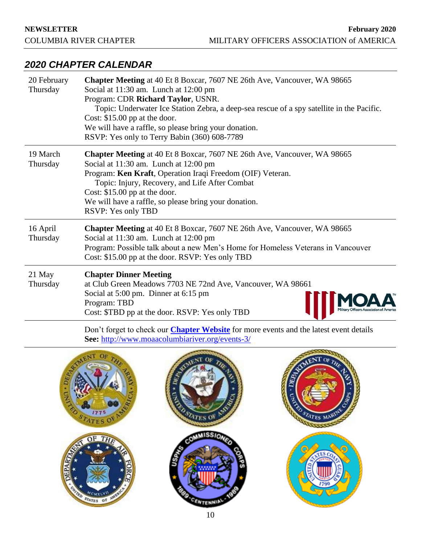## *2020 CHAPTER CALENDAR*

| 20 February<br>Thursday | <b>Chapter Meeting</b> at 40 Et 8 Boxcar, 7607 NE 26th Ave, Vancouver, WA 98665<br>Social at 11:30 am. Lunch at 12:00 pm<br>Program: CDR Richard Taylor, USNR.<br>Topic: Underwater Ice Station Zebra, a deep-sea rescue of a spy satellite in the Pacific.<br>Cost: $$15.00$ pp at the door.<br>We will have a raffle, so please bring your donation.<br>RSVP: Yes only to Terry Babin (360) 608-7789 |
|-------------------------|--------------------------------------------------------------------------------------------------------------------------------------------------------------------------------------------------------------------------------------------------------------------------------------------------------------------------------------------------------------------------------------------------------|
| 19 March<br>Thursday    | Chapter Meeting at 40 Et 8 Boxcar, 7607 NE 26th Ave, Vancouver, WA 98665<br>Social at 11:30 am. Lunch at 12:00 pm<br>Program: Ken Kraft, Operation Iraqi Freedom (OIF) Veteran.<br>Topic: Injury, Recovery, and Life After Combat<br>Cost: $$15.00$ pp at the door.<br>We will have a raffle, so please bring your donation.<br>RSVP: Yes only TBD                                                     |
| 16 April<br>Thursday    | <b>Chapter Meeting</b> at 40 Et 8 Boxcar, 7607 NE 26th Ave, Vancouver, WA 98665<br>Social at 11:30 am. Lunch at 12:00 pm<br>Program: Possible talk about a new Men's Home for Homeless Veterans in Vancouver<br>Cost: \$15.00 pp at the door. RSVP: Yes only TBD                                                                                                                                       |
| 21 May<br>Thursday      | <b>Chapter Dinner Meeting</b><br>at Club Green Meadows 7703 NE 72nd Ave, Vancouver, WA 98661<br>Social at 5:00 pm. Dinner at 6:15 pm<br>Program: TBD<br>Cost: \$TBD pp at the door. RSVP: Yes only TBD                                                                                                                                                                                                 |

Don't forget to check our **[Chapter Website](http://www.moaacolumbiariver.org/events-3/)** for more events and the latest event details **See:** <http://www.moaacolumbiariver.org/events-3/>

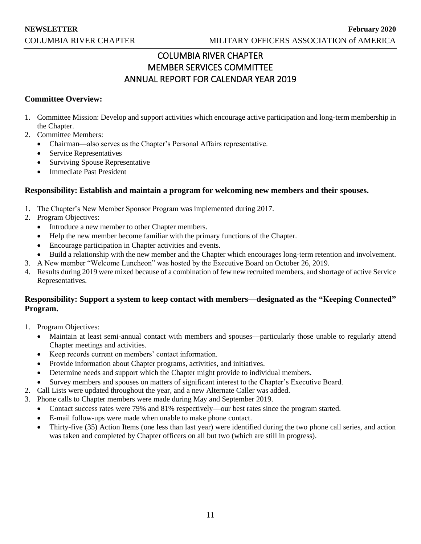## COLUMBIA RIVER CHAPTER MEMBER SERVICES COMMITTEE ANNUAL REPORT FOR CALENDAR YEAR 2019

#### **Committee Overview:**

- 1. Committee Mission: Develop and support activities which encourage active participation and long-term membership in the Chapter.
- 2. Committee Members:
	- Chairman—also serves as the Chapter's Personal Affairs representative.
	- Service Representatives
	- Surviving Spouse Representative
	- Immediate Past President

#### **Responsibility: Establish and maintain a program for welcoming new members and their spouses.**

- 1. The Chapter's New Member Sponsor Program was implemented during 2017.
- 2. Program Objectives:
	- Introduce a new member to other Chapter members.
	- Help the new member become familiar with the primary functions of the Chapter.
	- Encourage participation in Chapter activities and events.
	- Build a relationship with the new member and the Chapter which encourages long-term retention and involvement.
- 3. A New member "Welcome Luncheon" was hosted by the Executive Board on October 26, 2019.
- 4. Results during 2019 were mixed because of a combination of few new recruited members, and shortage of active Service Representatives.

#### **Responsibility: Support a system to keep contact with members—designated as the "Keeping Connected" Program.**

- 1. Program Objectives:
	- Maintain at least semi-annual contact with members and spouses—particularly those unable to regularly attend Chapter meetings and activities.
	- Keep records current on members' contact information.
	- Provide information about Chapter programs, activities, and initiatives.
	- Determine needs and support which the Chapter might provide to individual members.
	- Survey members and spouses on matters of significant interest to the Chapter's Executive Board.
- 2. Call Lists were updated throughout the year, and a new Alternate Caller was added.
- 3. Phone calls to Chapter members were made during May and September 2019.
	- Contact success rates were 79% and 81% respectively—our best rates since the program started.
	- E-mail follow-ups were made when unable to make phone contact.
	- Thirty-five (35) Action Items (one less than last year) were identified during the two phone call series, and action was taken and completed by Chapter officers on all but two (which are still in progress).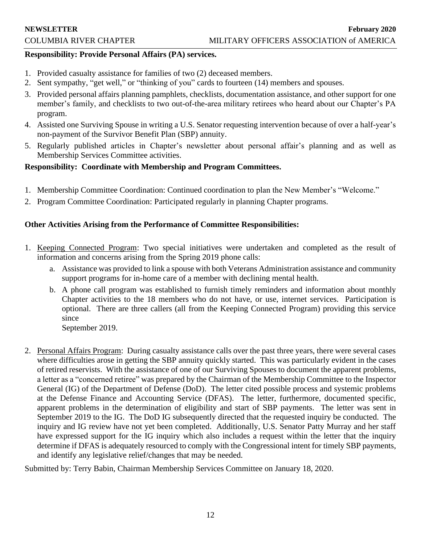#### **Responsibility: Provide Personal Affairs (PA) services.**

- 1. Provided casualty assistance for families of two (2) deceased members.
- 2. Sent sympathy, "get well," or "thinking of you" cards to fourteen (14) members and spouses.
- 3. Provided personal affairs planning pamphlets, checklists, documentation assistance, and other support for one member's family, and checklists to two out-of-the-area military retirees who heard about our Chapter's PA program.
- 4. Assisted one Surviving Spouse in writing a U.S. Senator requesting intervention because of over a half-year's non-payment of the Survivor Benefit Plan (SBP) annuity.
- 5. Regularly published articles in Chapter's newsletter about personal affair's planning and as well as Membership Services Committee activities.

## **Responsibility: Coordinate with Membership and Program Committees.**

- 1. Membership Committee Coordination: Continued coordination to plan the New Member's "Welcome."
- 2. Program Committee Coordination: Participated regularly in planning Chapter programs.

## **Other Activities Arising from the Performance of Committee Responsibilities:**

- 1. Keeping Connected Program: Two special initiatives were undertaken and completed as the result of information and concerns arising from the Spring 2019 phone calls:
	- a. Assistance was provided to link a spouse with both Veterans Administration assistance and community support programs for in-home care of a member with declining mental health.
	- b. A phone call program was established to furnish timely reminders and information about monthly Chapter activities to the 18 members who do not have, or use, internet services. Participation is optional. There are three callers (all from the Keeping Connected Program) providing this service since
		- September 2019.
- 2. Personal Affairs Program: During casualty assistance calls over the past three years, there were several cases where difficulties arose in getting the SBP annuity quickly started. This was particularly evident in the cases of retired reservists. With the assistance of one of our Surviving Spouses to document the apparent problems, a letter as a "concerned retiree" was prepared by the Chairman of the Membership Committee to the Inspector General (IG) of the Department of Defense (DoD). The letter cited possible process and systemic problems at the Defense Finance and Accounting Service (DFAS). The letter, furthermore, documented specific, apparent problems in the determination of eligibility and start of SBP payments. The letter was sent in September 2019 to the IG. The DoD IG subsequently directed that the requested inquiry be conducted. The inquiry and IG review have not yet been completed. Additionally, U.S. Senator Patty Murray and her staff have expressed support for the IG inquiry which also includes a request within the letter that the inquiry determine if DFAS is adequately resourced to comply with the Congressional intent for timely SBP payments, and identify any legislative relief/changes that may be needed.

Submitted by: Terry Babin, Chairman Membership Services Committee on January 18, 2020.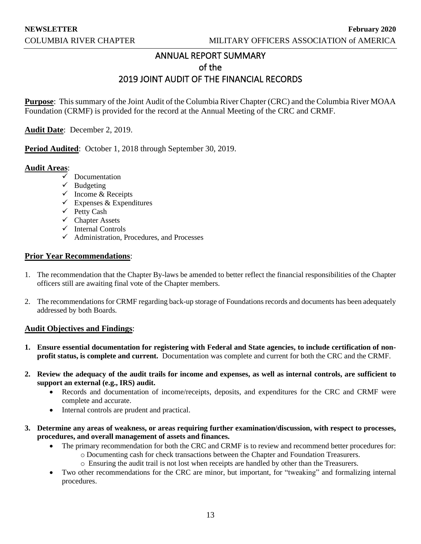## ANNUAL REPORT SUMMARY of the 2019 JOINT AUDIT OF THE FINANCIAL RECORDS

**Purpose**: This summary of the Joint Audit of the Columbia River Chapter (CRC) and the Columbia River MOAA Foundation (CRMF) is provided for the record at the Annual Meeting of the CRC and CRMF.

**Audit Date**: December 2, 2019.

**Period Audited**: October 1, 2018 through September 30, 2019.

#### **Audit Areas**:

- ✓ Documentation
- $\checkmark$  Budgeting
- $\checkmark$  Income & Receipts
- $\checkmark$  Expenses & Expenditures
- ✓ Petty Cash
- ✓ Chapter Assets
- ✓ Internal Controls
- $\checkmark$  Administration, Procedures, and Processes

#### **Prior Year Recommendations**:

- 1. The recommendation that the Chapter By-laws be amended to better reflect the financial responsibilities of the Chapter officers still are awaiting final vote of the Chapter members.
- 2. The recommendations for CRMF regarding back-up storage of Foundations records and documents has been adequately addressed by both Boards.

#### **Audit Objectives and Findings**:

- **1. Ensure essential documentation for registering with Federal and State agencies, to include certification of nonprofit status, is complete and current.** Documentation was complete and current for both the CRC and the CRMF.
- **2. Review the adequacy of the audit trails for income and expenses, as well as internal controls, are sufficient to support an external (e.g., IRS) audit.**
	- Records and documentation of income/receipts, deposits, and expenditures for the CRC and CRMF were complete and accurate.
	- Internal controls are prudent and practical.
- **3. Determine any areas of weakness, or areas requiring further examination/discussion, with respect to processes, procedures, and overall management of assets and finances.**
	- The primary recommendation for both the CRC and CRMF is to review and recommend better procedures for: o Documenting cash for check transactions between the Chapter and Foundation Treasurers.
		- o Ensuring the audit trail is not lost when receipts are handled by other than the Treasurers.
	- Two other recommendations for the CRC are minor, but important, for "tweaking" and formalizing internal procedures.